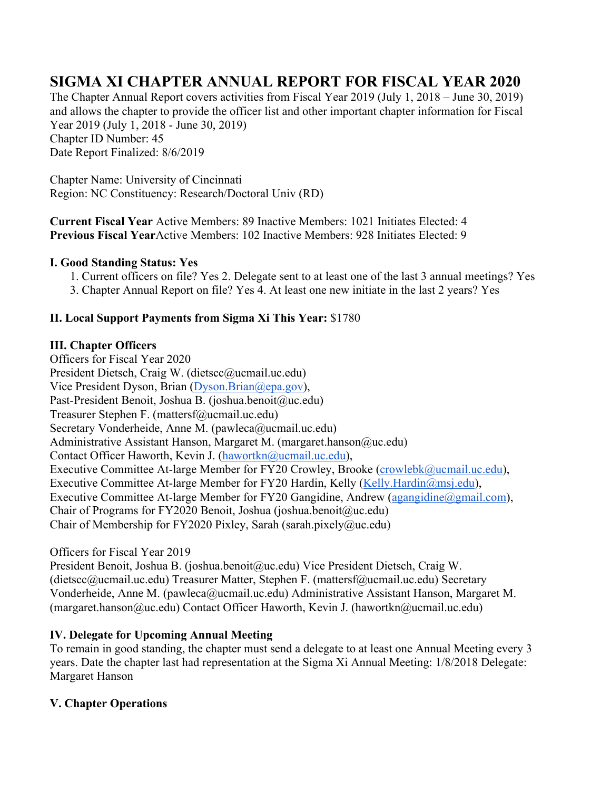# **SIGMA XI CHAPTER ANNUAL REPORT FOR FISCAL YEAR 2020**

The Chapter Annual Report covers activities from Fiscal Year 2019 (July 1, 2018 – June 30, 2019) and allows the chapter to provide the officer list and other important chapter information for Fiscal Year 2019 (July 1, 2018 - June 30, 2019) Chapter ID Number: 45 Date Report Finalized: 8/6/2019

Chapter Name: University of Cincinnati Region: NC Constituency: Research/Doctoral Univ (RD)

**Current Fiscal Year** Active Members: 89 Inactive Members: 1021 Initiates Elected: 4 **Previous Fiscal Year**Active Members: 102 Inactive Members: 928 Initiates Elected: 9

### **I. Good Standing Status: Yes**

1. Current officers on file? Yes 2. Delegate sent to at least one of the last 3 annual meetings? Yes 3. Chapter Annual Report on file? Yes 4. At least one new initiate in the last 2 years? Yes

### **II. Local Support Payments from Sigma Xi This Year:** \$1780

#### **III. Chapter Officers**

Officers for Fiscal Year 2020 President Dietsch, Craig W. (dietscc@ucmail.uc.edu) Vice President Dyson, Brian (Dyson.Brian@epa.gov), Past-President Benoit, Joshua B. (joshua.benoit@uc.edu) Treasurer Stephen F. (mattersf@ucmail.uc.edu) Secretary Vonderheide, Anne M. (pawleca@ucmail.uc.edu) Administrative Assistant Hanson, Margaret M. (margaret.hanson@uc.edu) Contact Officer Haworth, Kevin J. (hawortkn@ucmail.uc.edu), Executive Committee At-large Member for FY20 Crowley, Brooke (crowlebk@ucmail.uc.edu), Executive Committee At-large Member for FY20 Hardin, Kelly (Kelly.Hardin@msj.edu), Executive Committee At-large Member for FY20 Gangidine, Andrew (agangidine@gmail.com), Chair of Programs for FY2020 Benoit, Joshua (joshua.benoit@uc.edu) Chair of Membership for FY2020 Pixley, Sarah (sarah.pixely@uc.edu)

### Officers for Fiscal Year 2019

President Benoit, Joshua B. (joshua.benoit@uc.edu) Vice President Dietsch, Craig W. (dietscc@ucmail.uc.edu) Treasurer Matter, Stephen F. (mattersf@ucmail.uc.edu) Secretary Vonderheide, Anne M. (pawleca@ucmail.uc.edu) Administrative Assistant Hanson, Margaret M. (margaret.hanson@uc.edu) Contact Officer Haworth, Kevin J. (hawortkn@ucmail.uc.edu)

### **IV. Delegate for Upcoming Annual Meeting**

To remain in good standing, the chapter must send a delegate to at least one Annual Meeting every 3 years. Date the chapter last had representation at the Sigma Xi Annual Meeting: 1/8/2018 Delegate: Margaret Hanson

### **V. Chapter Operations**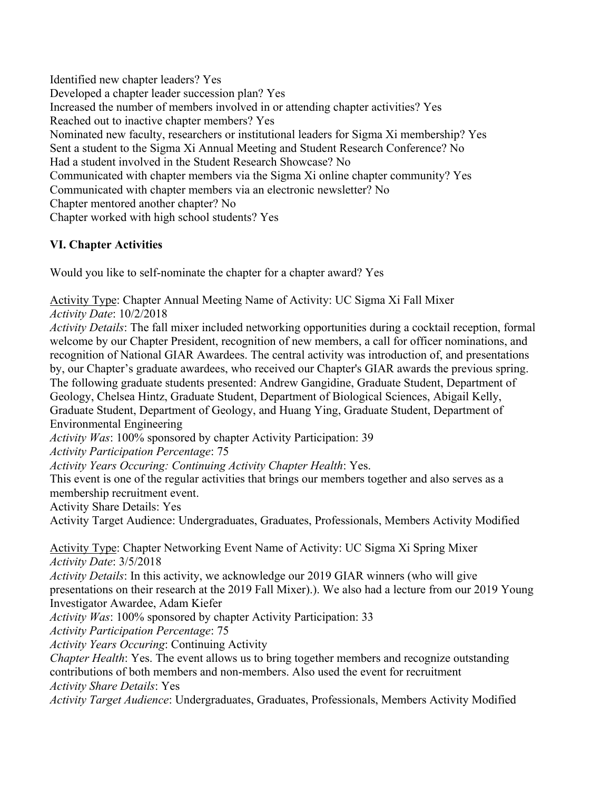Identified new chapter leaders? Yes Developed a chapter leader succession plan? Yes Increased the number of members involved in or attending chapter activities? Yes Reached out to inactive chapter members? Yes Nominated new faculty, researchers or institutional leaders for Sigma Xi membership? Yes Sent a student to the Sigma Xi Annual Meeting and Student Research Conference? No Had a student involved in the Student Research Showcase? No Communicated with chapter members via the Sigma Xi online chapter community? Yes Communicated with chapter members via an electronic newsletter? No Chapter mentored another chapter? No Chapter worked with high school students? Yes

## **VI. Chapter Activities**

Would you like to self-nominate the chapter for a chapter award? Yes

Activity Type: Chapter Annual Meeting Name of Activity: UC Sigma Xi Fall Mixer *Activity Date*: 10/2/2018

*Activity Details*: The fall mixer included networking opportunities during a cocktail reception, formal welcome by our Chapter President, recognition of new members, a call for officer nominations, and recognition of National GIAR Awardees. The central activity was introduction of, and presentations by, our Chapter's graduate awardees, who received our Chapter's GIAR awards the previous spring. The following graduate students presented: Andrew Gangidine, Graduate Student, Department of Geology, Chelsea Hintz, Graduate Student, Department of Biological Sciences, Abigail Kelly, Graduate Student, Department of Geology, and Huang Ying, Graduate Student, Department of Environmental Engineering

*Activity Was*: 100% sponsored by chapter Activity Participation: 39

*Activity Participation Percentage*: 75

*Activity Years Occuring: Continuing Activity Chapter Health*: Yes.

This event is one of the regular activities that brings our members together and also serves as a membership recruitment event.

Activity Share Details: Yes

Activity Target Audience: Undergraduates, Graduates, Professionals, Members Activity Modified

Activity Type: Chapter Networking Event Name of Activity: UC Sigma Xi Spring Mixer *Activity Date*: 3/5/2018

*Activity Details*: In this activity, we acknowledge our 2019 GIAR winners (who will give presentations on their research at the 2019 Fall Mixer).). We also had a lecture from our 2019 Young Investigator Awardee, Adam Kiefer

*Activity Was*: 100% sponsored by chapter Activity Participation: 33

*Activity Participation Percentage*: 75

*Activity Years Occuring*: Continuing Activity

*Chapter Health*: Yes. The event allows us to bring together members and recognize outstanding contributions of both members and non-members. Also used the event for recruitment *Activity Share Details*: Yes

*Activity Target Audience*: Undergraduates, Graduates, Professionals, Members Activity Modified